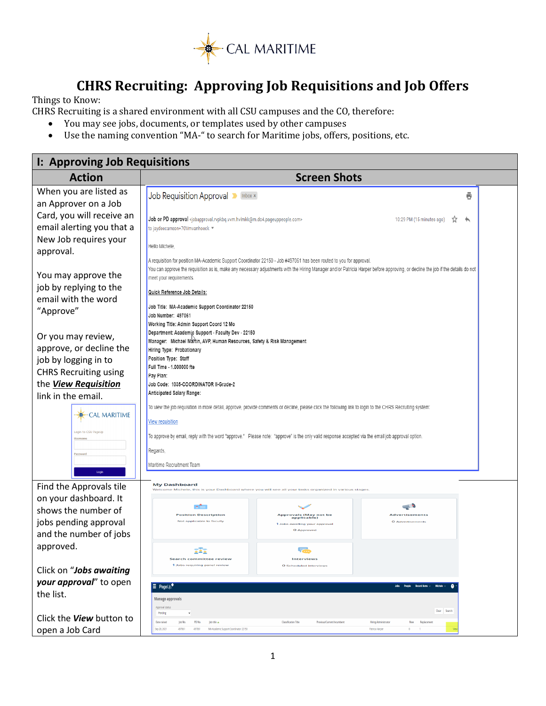

## **CHRS Recruiting: Approving Job Requisitions and Job Offers**

Things to Know:

CHRS Recruiting is a shared environment with all CSU campuses and the CO, therefore:<br>• You may see iobs. documents, or templates used by other campuses

- You may see jobs, documents, or templates used by other campuses<br>• Use the naming convention "MA-" to search for Maritime jobs, offers,
- Use the naming convention "MA-" to search for Maritime jobs, offers, positions, etc.

| I: Approving Job Requisitions                 |                                                                                                                                                                                      |                                                                         |                                                                                                                                                                                 |  |  |
|-----------------------------------------------|--------------------------------------------------------------------------------------------------------------------------------------------------------------------------------------|-------------------------------------------------------------------------|---------------------------------------------------------------------------------------------------------------------------------------------------------------------------------|--|--|
| <b>Action</b>                                 | <b>Screen Shots</b>                                                                                                                                                                  |                                                                         |                                                                                                                                                                                 |  |  |
| When you are listed as                        | Job Requisition Approval <b>D</b> Inbox x                                                                                                                                            |                                                                         | ē                                                                                                                                                                               |  |  |
| an Approver on a Job                          |                                                                                                                                                                                      |                                                                         |                                                                                                                                                                                 |  |  |
| Card, you will receive an                     | Job or PD approval <jobapproval.rvpkbq.vvm.hvlmkk@m.dc4.pageuppeople.com></jobapproval.rvpkbq.vvm.hvlmkk@m.dc4.pageuppeople.com>                                                     |                                                                         | 10:29 PM (15 minutes ago)                                                                                                                                                       |  |  |
| email alerting you that a                     | to jaydeecarreon+70Vmvanhoeck *                                                                                                                                                      |                                                                         |                                                                                                                                                                                 |  |  |
| New Job requires your<br>approval.            | Hello Michele.                                                                                                                                                                       |                                                                         |                                                                                                                                                                                 |  |  |
| You may approve the<br>job by replying to the | A requisition for position MA-Academic Support Coordinator 22150 - Job #497061 has been routed to you for approval.<br>meet your requirements.                                       |                                                                         | You can approve the requisition as is, make any necessary adjustments with the Hiring Manager and/or Patricia Harper before approving, or decline the job if the details do not |  |  |
| email with the word                           | Quick Reference Job Details:                                                                                                                                                         |                                                                         |                                                                                                                                                                                 |  |  |
| "Approve"                                     | Job Title: MA-Academic Support Coordinator 22150                                                                                                                                     |                                                                         |                                                                                                                                                                                 |  |  |
|                                               | Job Number: 497061<br>Working Title: Admin Support Coord 12 Mo                                                                                                                       |                                                                         |                                                                                                                                                                                 |  |  |
| Or you may review,                            | Department: Academic Support - Faculty Dev - 22150                                                                                                                                   |                                                                         |                                                                                                                                                                                 |  |  |
| approve, or decline the                       | Hiring Type: Probationary                                                                                                                                                            | Manager: Michael Martin, AVP, Human Resources, Safety & Risk Management |                                                                                                                                                                                 |  |  |
| job by logging in to                          | Position Type: Staff                                                                                                                                                                 |                                                                         |                                                                                                                                                                                 |  |  |
| <b>CHRS Recruiting using</b>                  | Full Time - 1.000000 fte<br>Pay Plan:                                                                                                                                                |                                                                         |                                                                                                                                                                                 |  |  |
| the View Requisition                          | Job Code: 1035-COORDINATOR II-Grade-2                                                                                                                                                |                                                                         |                                                                                                                                                                                 |  |  |
| link in the email.                            | Anticipated Salary Range:                                                                                                                                                            |                                                                         |                                                                                                                                                                                 |  |  |
| <b>CAL MARITIME</b>                           | To view the job requisition in more detail, approve, provide comments or decline, please click the following link to login to the CHRS Recruiting system:<br><b>View requisition</b> |                                                                         |                                                                                                                                                                                 |  |  |
| Login to CSU PageUp                           |                                                                                                                                                                                      |                                                                         |                                                                                                                                                                                 |  |  |
| Usernam                                       | To approve by email, reply with the word "approve." Please note: "approve" is the only valid response accepted via the email job approval option.                                    |                                                                         |                                                                                                                                                                                 |  |  |
| Password                                      | Regards,                                                                                                                                                                             |                                                                         |                                                                                                                                                                                 |  |  |
| Login                                         | Maritime Recruitment Team                                                                                                                                                            |                                                                         |                                                                                                                                                                                 |  |  |
| Find the Approvals tile                       | <b>My Dashboard</b><br>Welcome Michele, this                                                                                                                                         |                                                                         |                                                                                                                                                                                 |  |  |
| on your dashboard. It                         |                                                                                                                                                                                      |                                                                         |                                                                                                                                                                                 |  |  |
| shows the number of                           | <b>Position Description</b>                                                                                                                                                          | Approvals (May not be<br>applicable)                                    | <b>Advertisements</b>                                                                                                                                                           |  |  |
| jobs pending approval                         | Not applicable to faculty                                                                                                                                                            | 1 Jobs awaiting your approva<br>O Approved                              | O Advertisements                                                                                                                                                                |  |  |
| and the number of jobs                        |                                                                                                                                                                                      |                                                                         |                                                                                                                                                                                 |  |  |
| approved.                                     | 343                                                                                                                                                                                  | F.                                                                      |                                                                                                                                                                                 |  |  |
| Click on "Jobs awaiting                       | <b>Search committee review</b><br>1 Jobs requiring panel review                                                                                                                      | <b>Interviews</b><br>O Scheduled Interviews                             |                                                                                                                                                                                 |  |  |
| your approval" to open                        |                                                                                                                                                                                      |                                                                         |                                                                                                                                                                                 |  |  |
| the list.                                     | $\equiv$ PageUp.                                                                                                                                                                     |                                                                         | Jobs People Recentitiems v<br>Michele v                                                                                                                                         |  |  |
|                                               | <b>Manage approvals</b><br>Approval statu                                                                                                                                            |                                                                         |                                                                                                                                                                                 |  |  |
| Click the <b>View</b> button to               | Pending<br>$\checkmark$                                                                                                                                                              |                                                                         | Clear Search                                                                                                                                                                    |  |  |
| open a Job Card                               | Date raised<br>lob No.<br>PD No.<br>Job title &<br>Sep 28, 2021<br>497061<br>MA-Academic Support Coordinator 22150<br>497061                                                         | <b>Classification Title</b><br>Previous/Current Incumbent               | <b>Hiring Administrator</b><br>New<br>Replacement<br>Patricia Harpe<br>$\theta$<br>$-1$                                                                                         |  |  |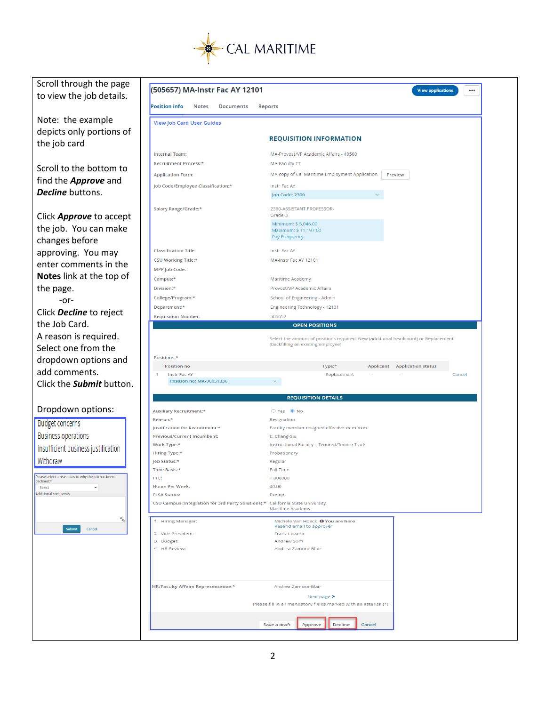

| Scroll through the page                           |                                                                                 |                                                                                                                          |
|---------------------------------------------------|---------------------------------------------------------------------------------|--------------------------------------------------------------------------------------------------------------------------|
| to view the job details.                          | (505657) MA-Instr Fac AY 12101                                                  | <b>View applications</b><br>$\cdots$                                                                                     |
|                                                   | <b>Position info</b><br>Notes<br>Documents                                      | Reports                                                                                                                  |
| Note: the example                                 |                                                                                 |                                                                                                                          |
|                                                   | <b><u>View Job Card User Guides</u></b>                                         |                                                                                                                          |
| depicts only portions of                          |                                                                                 | <b>REQUISITION INFORMATION</b>                                                                                           |
| the job card                                      |                                                                                 |                                                                                                                          |
|                                                   | <b>Internal Team:</b>                                                           | MA-Provost/VP Academic Affairs - 40500                                                                                   |
| Scroll to the bottom to                           | Recruitment Process:*                                                           | <b>MA-Faculty TT</b>                                                                                                     |
| find the <b>Approve</b> and                       | <b>Application Form:</b>                                                        | MA-copy of Cal Maritime Employment Application<br>Preview                                                                |
| Decline buttons.                                  | Job Code/Employee Classification:*                                              | Instr Fac AY                                                                                                             |
|                                                   |                                                                                 | Job Code: 2360                                                                                                           |
|                                                   | Salary Range/Grade:*                                                            | 2360-ASSISTANT PROFESSOR-<br>Grade-3                                                                                     |
| Click <b>Approve</b> to accept                    |                                                                                 | Minimum: \$5,046.00                                                                                                      |
| the job. You can make                             |                                                                                 | Maximum: \$11,197.00                                                                                                     |
| changes before                                    |                                                                                 | Pay Frequency:                                                                                                           |
| approving. You may                                | <b>Classification Title:</b>                                                    | Instr Fac AY                                                                                                             |
| enter comments in the                             | CSU Working Title:*                                                             | MA-Instr Fac AY 12101                                                                                                    |
|                                                   | MPP Job Code:                                                                   |                                                                                                                          |
| Notes link at the top of                          | Campus:*                                                                        | Maritime Academy                                                                                                         |
| the page.                                         | Division:*                                                                      | Provost/VP Academic Affairs                                                                                              |
| $-0r-$                                            | College/Program:*                                                               | School of Engineering - Admin                                                                                            |
| Click Decline to reject                           | Department:*<br><b>Requisition Number:</b>                                      | Engineering Technology - 12101<br>505657                                                                                 |
| the Job Card.                                     |                                                                                 | <b>OPEN POSITIONS</b>                                                                                                    |
| A reason is required.                             |                                                                                 |                                                                                                                          |
| Select one from the                               |                                                                                 | Select the amount of positions required: New (additional headcount) or Replacement<br>(backfilling an existing employee) |
|                                                   |                                                                                 |                                                                                                                          |
|                                                   |                                                                                 |                                                                                                                          |
| dropdown options and                              | Positions:*<br>Position no                                                      | Type:*<br>Applicant<br><b>Application status</b>                                                                         |
| add comments.                                     | Instr Fac AY                                                                    | Replacement<br>Cancel                                                                                                    |
| Click the <b>Submit</b> button.                   | Position no: MA-00051336                                                        |                                                                                                                          |
|                                                   |                                                                                 | <b>REQUISITION DETAILS</b>                                                                                               |
|                                                   |                                                                                 |                                                                                                                          |
| Dropdown options:                                 | <b>Auxiliary Recruitment:*</b><br>Reason:*                                      | ○ Yes ● No<br>Resignation                                                                                                |
| <b>Budget concerns</b>                            | Justification for Recruitment:*                                                 | Faculty member resigned effective xx.xx.xxxx                                                                             |
| <b>Business operations</b>                        | <b>Previous/Current Incumbent:</b>                                              | E. Chang-Siu                                                                                                             |
|                                                   | Work Type:*                                                                     | Instructional Faculty - Tenured/Tenure-Track                                                                             |
| Insufficient business justification               | Hiring Type:*                                                                   | Probationary                                                                                                             |
| Withdraw                                          | Job Status:*<br>Time Basis:*                                                    | Regular<br><b>Full Time</b>                                                                                              |
| Please select a reason as to why the job has been | FTE:                                                                            | 1.000000                                                                                                                 |
|                                                   | <b>Hours Per Week:</b>                                                          | 40.00                                                                                                                    |
| Additional comments:                              | <b>FLSA Status:</b>                                                             | Exempt                                                                                                                   |
|                                                   | CSU Campus (Integration for 3rd Party Solutions):* California State University, | <b>Maritime Academy</b>                                                                                                  |
| $R_{\rm{q_0}}$                                    | 1. Hiring Manager:                                                              | Michele Van Hoeck <sup>+</sup> You are here                                                                              |
| Cancel<br><b>Submit</b>                           | 2. Vice President:                                                              | Resend email to approver<br>Franz Lozano                                                                                 |
|                                                   | 3. Budget:                                                                      | Andrew Som                                                                                                               |
|                                                   | 4. HR Review:                                                                   | Andrea Zamora-Blair                                                                                                      |
|                                                   |                                                                                 |                                                                                                                          |
|                                                   |                                                                                 |                                                                                                                          |
|                                                   |                                                                                 |                                                                                                                          |
|                                                   | <b>HR/Faculty Affairs Representative:*</b>                                      | Andrea Zamora-Blair                                                                                                      |
|                                                   |                                                                                 | Next page ><br>Please fill in all mandatory fields marked with an asterisk (*).                                          |
|                                                   |                                                                                 |                                                                                                                          |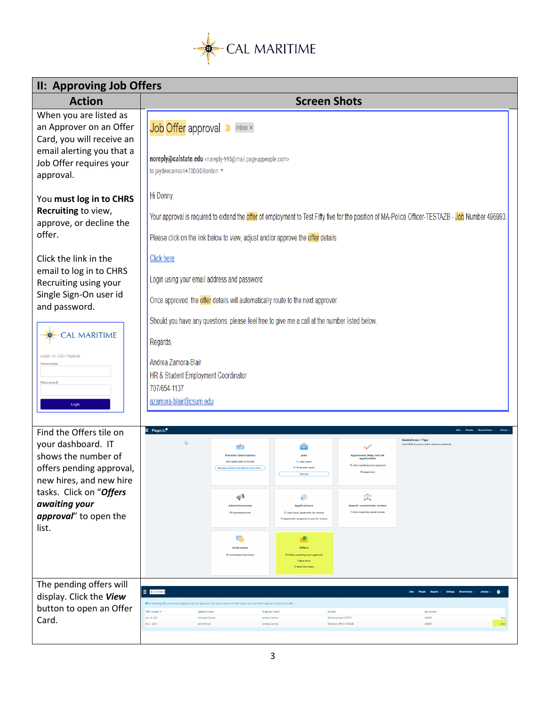

| <b>II: Approving Job Offers</b>                                                |                                                                                                                                                                                                                                                                 |  |  |  |  |
|--------------------------------------------------------------------------------|-----------------------------------------------------------------------------------------------------------------------------------------------------------------------------------------------------------------------------------------------------------------|--|--|--|--|
| <b>Action</b>                                                                  | <b>Screen Shots</b>                                                                                                                                                                                                                                             |  |  |  |  |
| When you are listed as<br>an Approver on an Offer<br>Card, you will receive an | Job Offer approval<br>Inbox $\times$                                                                                                                                                                                                                            |  |  |  |  |
| email alerting you that a<br>Job Offer requires your<br>approval.              | noreply@calstate.edu <noreply-995@mail.pageuppeople.com><br/>to jaydeecarreon+70DGDGordon</noreply-995@mail.pageuppeople.com>                                                                                                                                   |  |  |  |  |
| You must log in to CHRS                                                        | Hi Donny,                                                                                                                                                                                                                                                       |  |  |  |  |
| Recruiting to view,<br>approve, or decline the<br>offer.                       | Your approval is required to extend the <mark>offer</mark> of employment to Test Fifty five for the position of MA-Police Officer-TESTAZB - J <mark>ob</mark> Number 496993.                                                                                    |  |  |  |  |
|                                                                                | Please click on the link below to view, adjust and/or approve the offer details:                                                                                                                                                                                |  |  |  |  |
| Click the link in the                                                          | <b>Click here</b>                                                                                                                                                                                                                                               |  |  |  |  |
| email to log in to CHRS<br>Recruiting using your                               | Login using your email address and password.                                                                                                                                                                                                                    |  |  |  |  |
| Single Sign-On user id<br>and password.                                        | Once approved, the offer details will automatically route to the next approver.                                                                                                                                                                                 |  |  |  |  |
|                                                                                | Should you have any questions, please feel free to give me a call at the number listed below.                                                                                                                                                                   |  |  |  |  |
| <b>CAL MARITIME</b>                                                            | Regards,                                                                                                                                                                                                                                                        |  |  |  |  |
| Login to CSU PageUp<br><b>Username</b>                                         | Andrea Zamora-Blair                                                                                                                                                                                                                                             |  |  |  |  |
| Password                                                                       | HR & Student Employment Coordinator<br>707/654-1137                                                                                                                                                                                                             |  |  |  |  |
| Login                                                                          | azamora-blair@csum.edu                                                                                                                                                                                                                                          |  |  |  |  |
| Find the Offers tile on                                                        | $\equiv$ PageUp <sup>+</sup>                                                                                                                                                                                                                                    |  |  |  |  |
| your dashboard. IT                                                             | <b>Guidelines / Tips</b><br>$\mathbb{Z}$<br>Click HERE to a<br>÷                                                                                                                                                                                                |  |  |  |  |
| shows the number of<br>offers pending approval,                                | <b>Position Description</b><br>Approvals (May not be<br>O Jobs ope<br>ilting your appro<br>O Team tobs or                                                                                                                                                       |  |  |  |  |
| new hires, and new hire                                                        |                                                                                                                                                                                                                                                                 |  |  |  |  |
| tasks. Click on "Offers<br>awaiting your                                       | ÷<br>щ<br>Advertisements<br><b>Applications</b><br>Search committee review                                                                                                                                                                                      |  |  |  |  |
| approval" to open the<br>list.                                                 | 1 Jobs requiring panel revie<br>O Advertisements<br>O Jobs have applicants for review<br>O Applicants assigned to you for revie                                                                                                                                 |  |  |  |  |
|                                                                                | 。<br>σ<br>Interviews<br><b>Offers</b>                                                                                                                                                                                                                           |  |  |  |  |
|                                                                                | O Scheduled Interviews<br>aiting your<br>1 New htres<br>5. New him task                                                                                                                                                                                         |  |  |  |  |
| The pending offers will                                                        | <b>E X</b> CALIMATINE                                                                                                                                                                                                                                           |  |  |  |  |
| display. Click the View<br>button to open an Offer                             | OThe following offers have been assigned to you for approval. Click view to review the offer details, and then either approve or decline the off                                                                                                                |  |  |  |  |
| Card.                                                                          | Offer created<br>Applicant name<br>Originator name<br>lob title<br>lob numb<br>Sep 16, 2021<br>MA-Accountant II-70573<br>496965<br>Schroeder Schultz<br>Jordana Carreon<br>Nov 1, 2021<br>Ash Ketchum<br>Jordana Carreon<br>MA-Police Officer-TESTAZB<br>496993 |  |  |  |  |